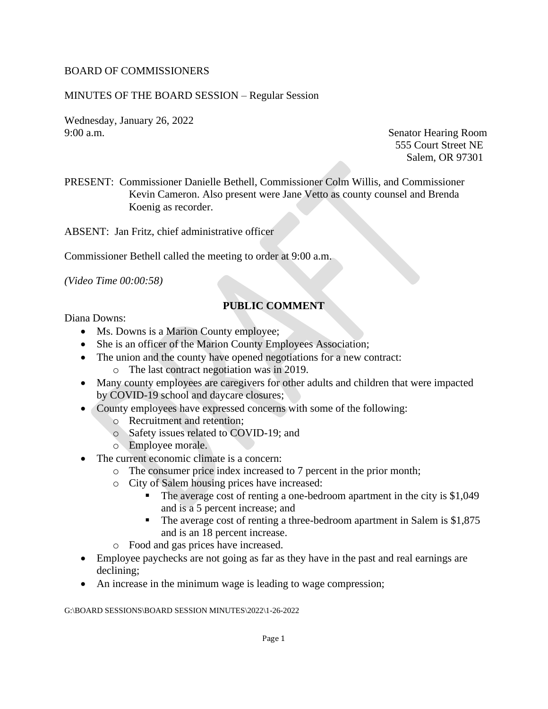#### BOARD OF COMMISSIONERS

#### MINUTES OF THE BOARD SESSION – Regular Session

Wednesday, January 26, 2022 9:00 a.m. Senator Hearing Room

555 Court Street NE Salem, OR 97301

PRESENT: Commissioner Danielle Bethell, Commissioner Colm Willis, and Commissioner Kevin Cameron. Also present were Jane Vetto as county counsel and Brenda Koenig as recorder.

ABSENT: Jan Fritz, chief administrative officer

Commissioner Bethell called the meeting to order at 9:00 a.m.

*(Video Time 00:00:58)*

## **PUBLIC COMMENT**

Diana Downs:

- Ms. Downs is a Marion County employee;
- She is an officer of the Marion County Employees Association;
- The union and the county have opened negotiations for a new contract:
	- o The last contract negotiation was in 2019.
- Many county employees are caregivers for other adults and children that were impacted by COVID-19 school and daycare closures;
- County employees have expressed concerns with some of the following:
	- o Recruitment and retention;
	- o Safety issues related to COVID-19; and
	- o Employee morale.
- The current economic climate is a concern:
	- o The consumer price index increased to 7 percent in the prior month;
		- o City of Salem housing prices have increased:
			- The average cost of renting a one-bedroom apartment in the city is \$1,049 and is a 5 percent increase; and
			- The average cost of renting a three-bedroom apartment in Salem is \$1,875 and is an 18 percent increase.
		- o Food and gas prices have increased.
- Employee paychecks are not going as far as they have in the past and real earnings are declining;
- An increase in the minimum wage is leading to wage compression;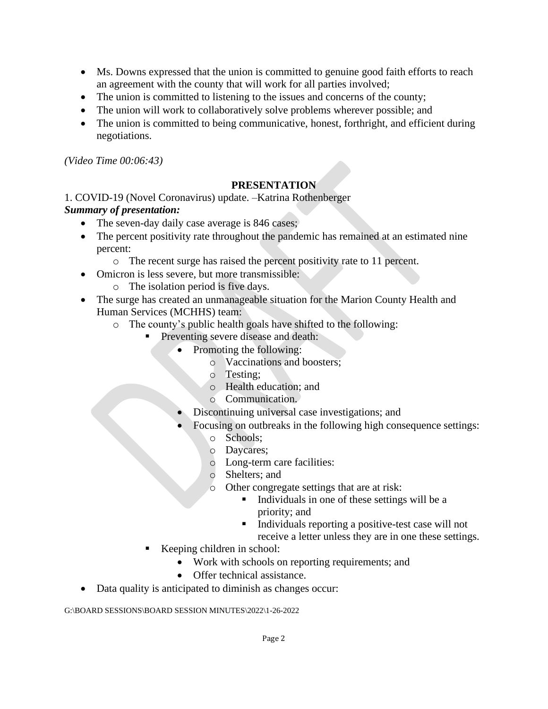- Ms. Downs expressed that the union is committed to genuine good faith efforts to reach an agreement with the county that will work for all parties involved;
- The union is committed to listening to the issues and concerns of the county;
- The union will work to collaboratively solve problems wherever possible; and
- The union is committed to being communicative, honest, forthright, and efficient during negotiations.

*(Video Time 00:06:43)*

# **PRESENTATION**

### 1. COVID-19 (Novel Coronavirus) update. –Katrina Rothenberger *Summary of presentation:*

- The seven-day daily case average is 846 cases;
- The percent positivity rate throughout the pandemic has remained at an estimated nine percent:
	- o The recent surge has raised the percent positivity rate to 11 percent.
- Omicron is less severe, but more transmissible:
	- o The isolation period is five days.
- The surge has created an unmanageable situation for the Marion County Health and Human Services (MCHHS) team:
	- o The county's public health goals have shifted to the following:
		- Preventing severe disease and death:
			- Promoting the following:
				- o Vaccinations and boosters;
				- o Testing;
				- o Health education; and
				- o Communication.
			- Discontinuing universal case investigations; and
			- Focusing on outbreaks in the following high consequence settings:
				- o Schools;
				- o Daycares;
				- o Long-term care facilities:
				- o Shelters; and
				- o Other congregate settings that are at risk:
					- Individuals in one of these settings will be a priority; and
					- Individuals reporting a positive-test case will not receive a letter unless they are in one these settings.
		- Keeping children in school:
			- Work with schools on reporting requirements; and
			- Offer technical assistance.
- Data quality is anticipated to diminish as changes occur: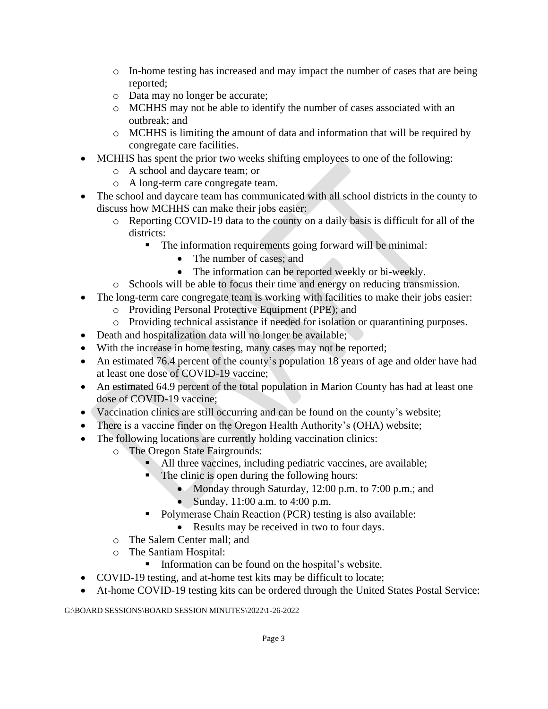- o In-home testing has increased and may impact the number of cases that are being reported;
- o Data may no longer be accurate;
- o MCHHS may not be able to identify the number of cases associated with an outbreak; and
- o MCHHS is limiting the amount of data and information that will be required by congregate care facilities.
- MCHHS has spent the prior two weeks shifting employees to one of the following:
	- o A school and daycare team; or
	- o A long-term care congregate team.
- The school and daycare team has communicated with all school districts in the county to discuss how MCHHS can make their jobs easier:
	- o Reporting COVID-19 data to the county on a daily basis is difficult for all of the districts:
		- The information requirements going forward will be minimal:
			- The number of cases; and
			- The information can be reported weekly or bi-weekly.
	- o Schools will be able to focus their time and energy on reducing transmission.
- The long-term care congregate team is working with facilities to make their jobs easier:
	- o Providing Personal Protective Equipment (PPE); and
	- o Providing technical assistance if needed for isolation or quarantining purposes.
- Death and hospitalization data will no longer be available;
- With the increase in home testing, many cases may not be reported;
- An estimated 76.4 percent of the county's population 18 years of age and older have had at least one dose of COVID-19 vaccine;
- An estimated 64.9 percent of the total population in Marion County has had at least one dose of COVID-19 vaccine;
- Vaccination clinics are still occurring and can be found on the county's website;
- There is a vaccine finder on the Oregon Health Authority's (OHA) website;
- The following locations are currently holding vaccination clinics:
	- o The Oregon State Fairgrounds:
		- All three vaccines, including pediatric vaccines, are available;
		- $\blacksquare$  The clinic is open during the following hours:
			- Monday through Saturday, 12:00 p.m. to 7:00 p.m.; and
			- Sunday, 11:00 a.m. to 4:00 p.m.
		- Polymerase Chain Reaction (PCR) testing is also available:
			- Results may be received in two to four days.
	- o The Salem Center mall; and
	- o The Santiam Hospital:
		- Information can be found on the hospital's website.
- COVID-19 testing, and at-home test kits may be difficult to locate;
- At-home COVID-19 testing kits can be ordered through the United States Postal Service: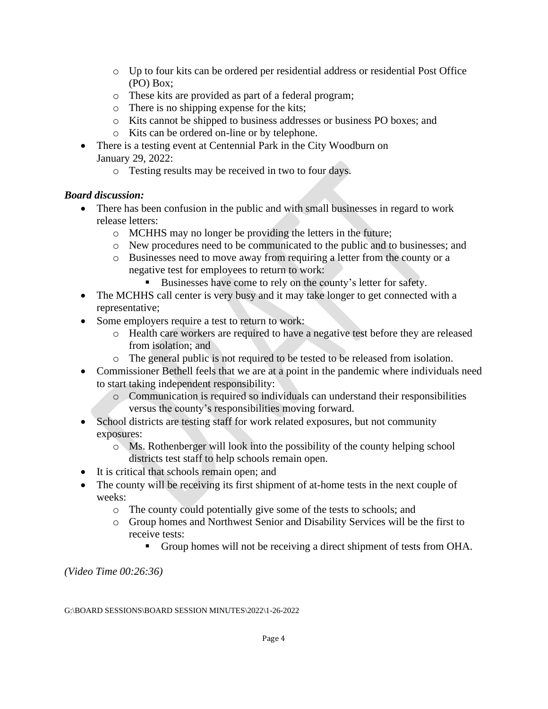- o Up to four kits can be ordered per residential address or residential Post Office (PO) Box;
- o These kits are provided as part of a federal program;
- o There is no shipping expense for the kits;
- o Kits cannot be shipped to business addresses or business PO boxes; and
- o Kits can be ordered on-line or by telephone.
- There is a testing event at Centennial Park in the City Woodburn on January 29, 2022:
	- o Testing results may be received in two to four days.

## *Board discussion:*

- There has been confusion in the public and with small businesses in regard to work release letters:
	- o MCHHS may no longer be providing the letters in the future;
	- o New procedures need to be communicated to the public and to businesses; and
	- o Businesses need to move away from requiring a letter from the county or a negative test for employees to return to work:
		- Businesses have come to rely on the county's letter for safety.
- The MCHHS call center is very busy and it may take longer to get connected with a representative;
- Some employers require a test to return to work:
	- o Health care workers are required to have a negative test before they are released from isolation; and
	- o The general public is not required to be tested to be released from isolation.
- Commissioner Bethell feels that we are at a point in the pandemic where individuals need to start taking independent responsibility:
	- o Communication is required so individuals can understand their responsibilities versus the county's responsibilities moving forward.
- School districts are testing staff for work related exposures, but not community exposures:
	- o Ms. Rothenberger will look into the possibility of the county helping school districts test staff to help schools remain open.
- It is critical that schools remain open; and
- The county will be receiving its first shipment of at-home tests in the next couple of weeks:
	- o The county could potentially give some of the tests to schools; and
	- o Group homes and Northwest Senior and Disability Services will be the first to receive tests:
		- Group homes will not be receiving a direct shipment of tests from OHA.

*(Video Time 00:26:36)*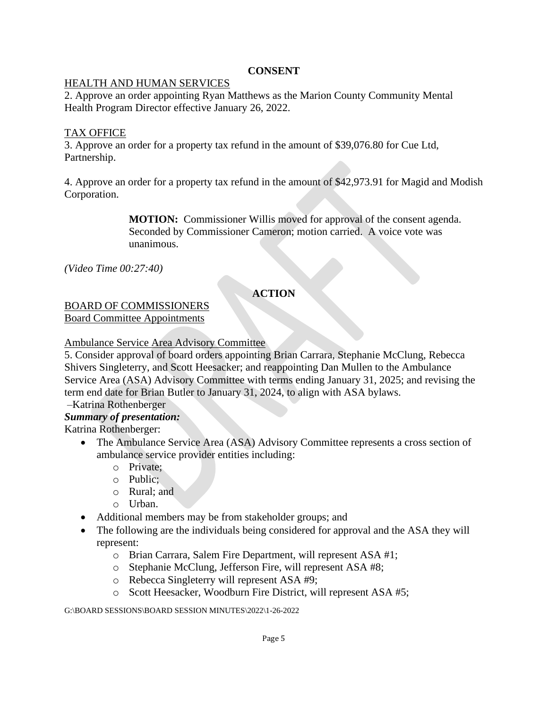#### **CONSENT**

#### HEALTH AND HUMAN SERVICES

2. Approve an order appointing Ryan Matthews as the Marion County Community Mental Health Program Director effective January 26, 2022.

### TAX OFFICE

3. Approve an order for a property tax refund in the amount of \$39,076.80 for Cue Ltd, Partnership.

4. Approve an order for a property tax refund in the amount of \$42,973.91 for Magid and Modish Corporation.

> **MOTION:** Commissioner Willis moved for approval of the consent agenda. Seconded by Commissioner Cameron; motion carried. A voice vote was unanimous.

*(Video Time 00:27:40)*

# **ACTION**

# BOARD OF COMMISSIONERS

Board Committee Appointments

#### Ambulance Service Area Advisory Committee

5. Consider approval of board orders appointing Brian Carrara, Stephanie McClung, Rebecca Shivers Singleterry, and Scott Heesacker; and reappointing Dan Mullen to the Ambulance Service Area (ASA) Advisory Committee with terms ending January 31, 2025; and revising the term end date for Brian Butler to January 31, 2024, to align with ASA bylaws.

–Katrina Rothenberger

### *Summary of presentation:*

Katrina Rothenberger:

- The Ambulance Service Area (ASA) Advisory Committee represents a cross section of ambulance service provider entities including:
	- o Private;
	- o Public;
	- o Rural; and
	- o Urban.
- Additional members may be from stakeholder groups; and
- The following are the individuals being considered for approval and the ASA they will represent:
	- o Brian Carrara, Salem Fire Department, will represent ASA #1;
	- o Stephanie McClung, Jefferson Fire, will represent ASA #8;
	- o Rebecca Singleterry will represent ASA #9;
	- o Scott Heesacker, Woodburn Fire District, will represent ASA #5;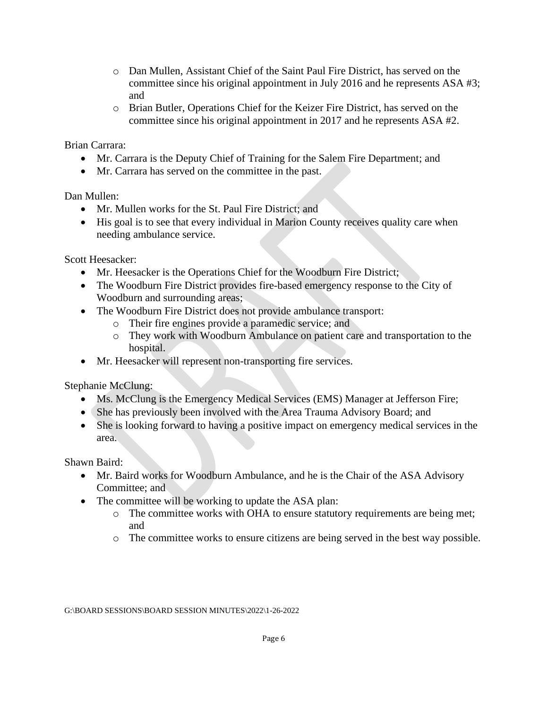- o Dan Mullen, Assistant Chief of the Saint Paul Fire District, has served on the committee since his original appointment in July 2016 and he represents ASA #3; and
- o Brian Butler, Operations Chief for the Keizer Fire District, has served on the committee since his original appointment in 2017 and he represents ASA #2.

Brian Carrara:

- Mr. Carrara is the Deputy Chief of Training for the Salem Fire Department; and
- Mr. Carrara has served on the committee in the past.

Dan Mullen:

- Mr. Mullen works for the St. Paul Fire District; and
- His goal is to see that every individual in Marion County receives quality care when needing ambulance service.

Scott Heesacker:

- Mr. Heesacker is the Operations Chief for the Woodburn Fire District;
- The Woodburn Fire District provides fire-based emergency response to the City of Woodburn and surrounding areas;
- The Woodburn Fire District does not provide ambulance transport:
	- o Their fire engines provide a paramedic service; and
	- o They work with Woodburn Ambulance on patient care and transportation to the hospital.
- Mr. Heesacker will represent non-transporting fire services.

Stephanie McClung:

- Ms. McClung is the Emergency Medical Services (EMS) Manager at Jefferson Fire;
- She has previously been involved with the Area Trauma Advisory Board; and
- She is looking forward to having a positive impact on emergency medical services in the area.

Shawn Baird:

- Mr. Baird works for Woodburn Ambulance, and he is the Chair of the ASA Advisory Committee; and
- The committee will be working to update the ASA plan:
	- o The committee works with OHA to ensure statutory requirements are being met; and
	- o The committee works to ensure citizens are being served in the best way possible.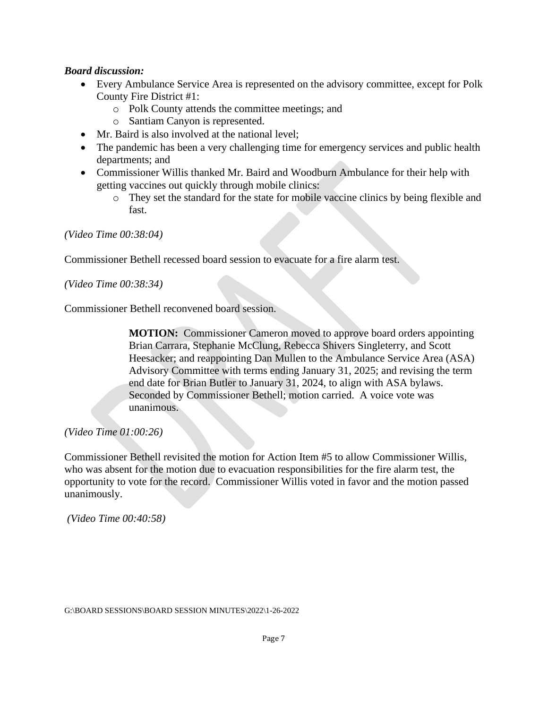#### *Board discussion:*

- Every Ambulance Service Area is represented on the advisory committee, except for Polk County Fire District #1:
	- o Polk County attends the committee meetings; and
	- o Santiam Canyon is represented.
- Mr. Baird is also involved at the national level:
- The pandemic has been a very challenging time for emergency services and public health departments; and
- Commissioner Willis thanked Mr. Baird and Woodburn Ambulance for their help with getting vaccines out quickly through mobile clinics:
	- o They set the standard for the state for mobile vaccine clinics by being flexible and fast.

*(Video Time 00:38:04)*

Commissioner Bethell recessed board session to evacuate for a fire alarm test.

*(Video Time 00:38:34)*

Commissioner Bethell reconvened board session.

**MOTION:** Commissioner Cameron moved to approve board orders appointing Brian Carrara, Stephanie McClung, Rebecca Shivers Singleterry, and Scott Heesacker; and reappointing Dan Mullen to the Ambulance Service Area (ASA) Advisory Committee with terms ending January 31, 2025; and revising the term end date for Brian Butler to January 31, 2024, to align with ASA bylaws. Seconded by Commissioner Bethell; motion carried. A voice vote was unanimous.

#### *(Video Time 01:00:26)*

Commissioner Bethell revisited the motion for Action Item #5 to allow Commissioner Willis, who was absent for the motion due to evacuation responsibilities for the fire alarm test, the opportunity to vote for the record. Commissioner Willis voted in favor and the motion passed unanimously.

*(Video Time 00:40:58)*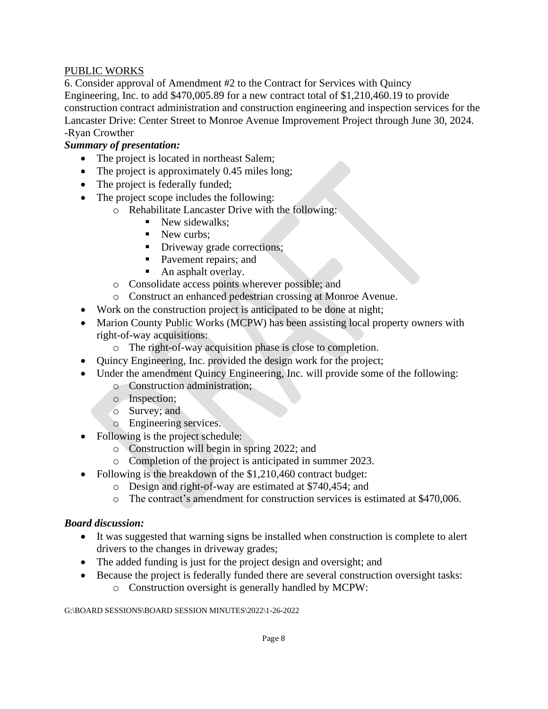### PUBLIC WORKS

6. Consider approval of Amendment #2 to the Contract for Services with Quincy Engineering, Inc. to add \$470,005.89 for a new contract total of \$1,210,460.19 to provide construction contract administration and construction engineering and inspection services for the Lancaster Drive: Center Street to Monroe Avenue Improvement Project through June 30, 2024. -Ryan Crowther

# *Summary of presentation:*

- The project is located in northeast Salem;
- The project is approximately 0.45 miles long;
- The project is federally funded;
- The project scope includes the following:
	- o Rehabilitate Lancaster Drive with the following:
		- **•** New sidewalks;
		- New curbs:
		- **•** Driveway grade corrections;
		- Pavement repairs; and
		- An asphalt overlay.
	- o Consolidate access points wherever possible; and
	- o Construct an enhanced pedestrian crossing at Monroe Avenue.
- Work on the construction project is anticipated to be done at night;
- Marion County Public Works (MCPW) has been assisting local property owners with right-of-way acquisitions:
	- o The right-of-way acquisition phase is close to completion.
- Quincy Engineering, Inc. provided the design work for the project;
- Under the amendment Quincy Engineering, Inc. will provide some of the following:
	- o Construction administration;
	- o Inspection;
	- o Survey; and
	- o Engineering services.
- Following is the project schedule:
	- o Construction will begin in spring 2022; and
	- o Completion of the project is anticipated in summer 2023.
- Following is the breakdown of the \$1,210,460 contract budget:
	- o Design and right-of-way are estimated at \$740,454; and
	- o The contract's amendment for construction services is estimated at \$470,006.

### *Board discussion:*

- It was suggested that warning signs be installed when construction is complete to alert drivers to the changes in driveway grades;
- The added funding is just for the project design and oversight; and
- Because the project is federally funded there are several construction oversight tasks: o Construction oversight is generally handled by MCPW: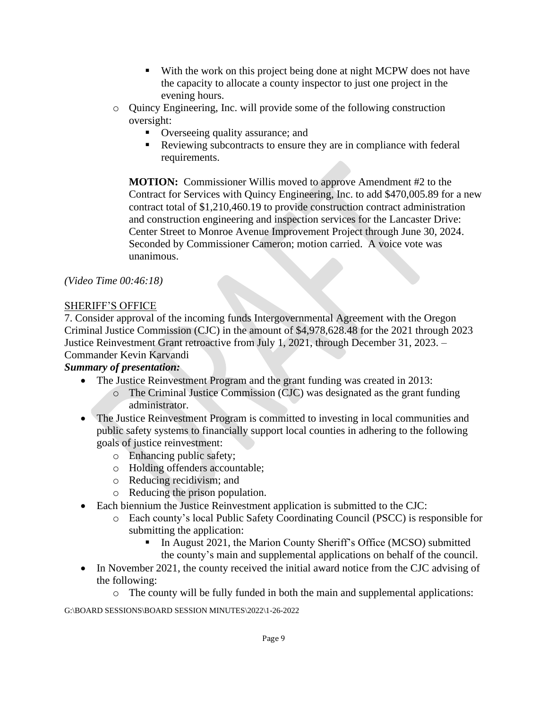- With the work on this project being done at night MCPW does not have the capacity to allocate a county inspector to just one project in the evening hours.
- o Quincy Engineering, Inc. will provide some of the following construction oversight:
	- Overseeing quality assurance; and
	- Reviewing subcontracts to ensure they are in compliance with federal requirements.

**MOTION:** Commissioner Willis moved to approve Amendment #2 to the Contract for Services with Quincy Engineering, Inc. to add \$470,005.89 for a new contract total of \$1,210,460.19 to provide construction contract administration and construction engineering and inspection services for the Lancaster Drive: Center Street to Monroe Avenue Improvement Project through June 30, 2024. Seconded by Commissioner Cameron; motion carried. A voice vote was unanimous.

# *(Video Time 00:46:18)*

## SHERIFF'S OFFICE

7. Consider approval of the incoming funds Intergovernmental Agreement with the Oregon Criminal Justice Commission (CJC) in the amount of \$4,978,628.48 for the 2021 through 2023 Justice Reinvestment Grant retroactive from July 1, 2021, through December 31, 2023. – Commander Kevin Karvandi

# *Summary of presentation:*

- The Justice Reinvestment Program and the grant funding was created in 2013:
	- o The Criminal Justice Commission (CJC) was designated as the grant funding administrator.
- The Justice Reinvestment Program is committed to investing in local communities and public safety systems to financially support local counties in adhering to the following goals of justice reinvestment:
	- o Enhancing public safety;
	- o Holding offenders accountable;
	- o Reducing recidivism; and
	- o Reducing the prison population.
- Each biennium the Justice Reinvestment application is submitted to the CJC:
	- o Each county's local Public Safety Coordinating Council (PSCC) is responsible for submitting the application:
		- **I.** In August 2021, the Marion County Sheriff's Office (MCSO) submitted the county's main and supplemental applications on behalf of the council.
- In November 2021, the county received the initial award notice from the CJC advising of the following:
	- $\circ$  The county will be fully funded in both the main and supplemental applications: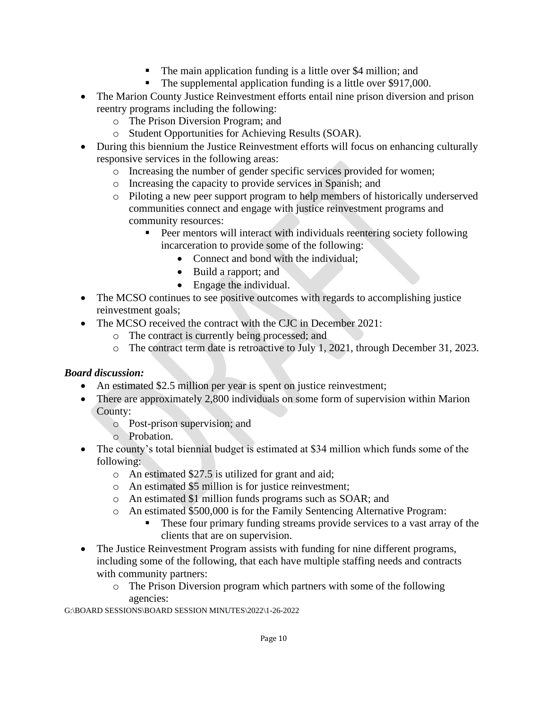- The main application funding is a little over \$4 million; and
- The supplemental application funding is a little over \$917,000.
- The Marion County Justice Reinvestment efforts entail nine prison diversion and prison reentry programs including the following:
	- o The Prison Diversion Program; and
	- o Student Opportunities for Achieving Results (SOAR).
- During this biennium the Justice Reinvestment efforts will focus on enhancing culturally responsive services in the following areas:
	- o Increasing the number of gender specific services provided for women;
	- o Increasing the capacity to provide services in Spanish; and
	- o Piloting a new peer support program to help members of historically underserved communities connect and engage with justice reinvestment programs and community resources:
		- Peer mentors will interact with individuals reentering society following incarceration to provide some of the following:
			- Connect and bond with the individual;
			- Build a rapport; and
			- Engage the individual.
- The MCSO continues to see positive outcomes with regards to accomplishing justice reinvestment goals;
- The MCSO received the contract with the CJC in December 2021:
	- o The contract is currently being processed; and
	- o The contract term date is retroactive to July 1, 2021, through December 31, 2023.

# *Board discussion:*

- An estimated \$2.5 million per year is spent on justice reinvestment;
- There are approximately 2,800 individuals on some form of supervision within Marion County:
	- o Post-prison supervision; and
	- o Probation.
- The county's total biennial budget is estimated at \$34 million which funds some of the following:
	- o An estimated \$27.5 is utilized for grant and aid;
	- o An estimated \$5 million is for justice reinvestment;
	- o An estimated \$1 million funds programs such as SOAR; and
	- o An estimated \$500,000 is for the Family Sentencing Alternative Program:
		- These four primary funding streams provide services to a vast array of the clients that are on supervision.
- The Justice Reinvestment Program assists with funding for nine different programs, including some of the following, that each have multiple staffing needs and contracts with community partners:
	- o The Prison Diversion program which partners with some of the following agencies: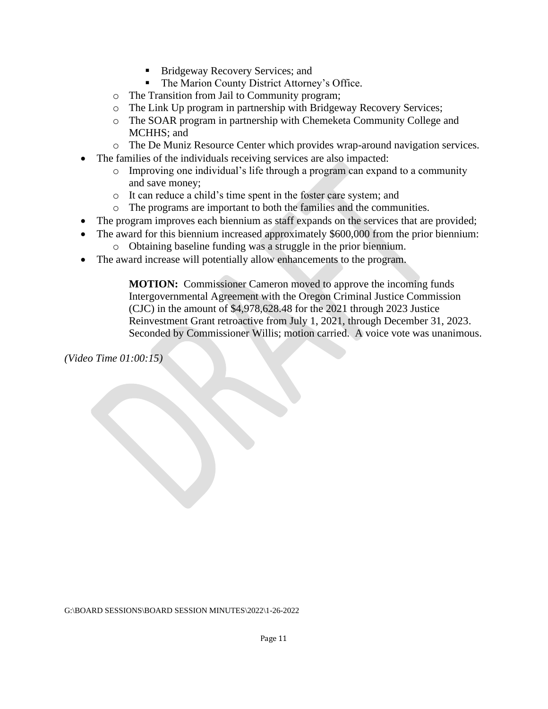- Bridgeway Recovery Services; and
- The Marion County District Attorney's Office.
- o The Transition from Jail to Community program;
- o The Link Up program in partnership with Bridgeway Recovery Services;
- o The SOAR program in partnership with Chemeketa Community College and MCHHS; and
- o The De Muniz Resource Center which provides wrap-around navigation services.
- The families of the individuals receiving services are also impacted:
	- o Improving one individual's life through a program can expand to a community and save money;
	- o It can reduce a child's time spent in the foster care system; and
	- o The programs are important to both the families and the communities.
- The program improves each biennium as staff expands on the services that are provided;
- The award for this biennium increased approximately \$600,000 from the prior biennium: o Obtaining baseline funding was a struggle in the prior biennium.
- The award increase will potentially allow enhancements to the program.

**MOTION:** Commissioner Cameron moved to approve the incoming funds Intergovernmental Agreement with the Oregon Criminal Justice Commission (CJC) in the amount of \$4,978,628.48 for the 2021 through 2023 Justice Reinvestment Grant retroactive from July 1, 2021, through December 31, 2023. Seconded by Commissioner Willis; motion carried. A voice vote was unanimous.

*(Video Time 01:00:15)*